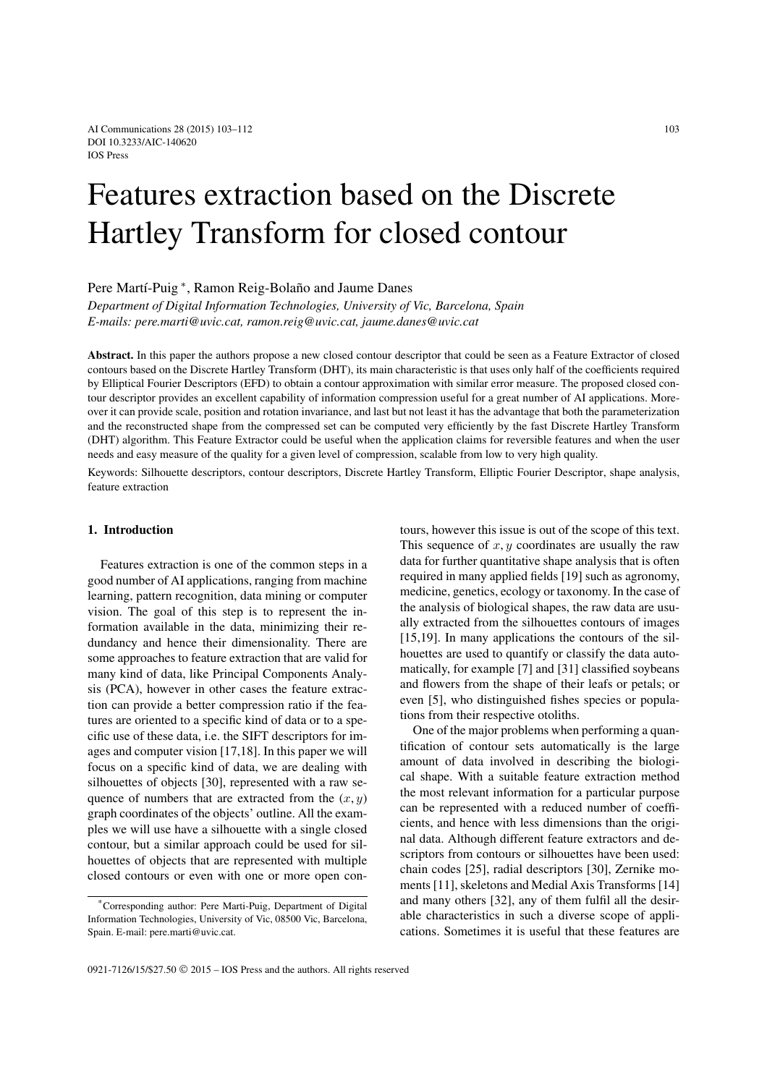# Features extraction based on the Discrete Hartley Transform for closed contour

Pere Martí-Puig ∗, Ramon Reig-Bolaño and Jaume Danes

*Department of Digital Information Technologies, University of Vic, Barcelona, Spain E-mails: pere.marti@uvic.cat, ramon.reig@uvic.cat, jaume.danes@uvic.cat*

**Abstract.** In this paper the authors propose a new closed contour descriptor that could be seen as a Feature Extractor of closed contours based on the Discrete Hartley Transform (DHT), its main characteristic is that uses only half of the coefficients required by Elliptical Fourier Descriptors (EFD) to obtain a contour approximation with similar error measure. The proposed closed contour descriptor provides an excellent capability of information compression useful for a great number of AI applications. Moreover it can provide scale, position and rotation invariance, and last but not least it has the advantage that both the parameterization and the reconstructed shape from the compressed set can be computed very efficiently by the fast Discrete Hartley Transform (DHT) algorithm. This Feature Extractor could be useful when the application claims for reversible features and when the user needs and easy measure of the quality for a given level of compression, scalable from low to very high quality.

Keywords: Silhouette descriptors, contour descriptors, Discrete Hartley Transform, Elliptic Fourier Descriptor, shape analysis, feature extraction

# **1. Introduction**

Features extraction is one of the common steps in a good number of AI applications, ranging from machine learning, pattern recognition, data mining or computer vision. The goal of this step is to represent the information available in the data, minimizing their redundancy and hence their dimensionality. There are some approaches to feature extraction that are valid for many kind of data, like Principal Components Analysis (PCA), however in other cases the feature extraction can provide a better compression ratio if the features are oriented to a specific kind of data or to a specific use of these data, i.e. the SIFT descriptors for images and computer vision [17,18]. In this paper we will focus on a specific kind of data, we are dealing with silhouettes of objects [30], represented with a raw sequence of numbers that are extracted from the  $(x, y)$ graph coordinates of the objects' outline. All the examples we will use have a silhouette with a single closed contour, but a similar approach could be used for silhouettes of objects that are represented with multiple closed contours or even with one or more open contours, however this issue is out of the scope of this text. This sequence of  $x, y$  coordinates are usually the raw data for further quantitative shape analysis that is often required in many applied fields [19] such as agronomy, medicine, genetics, ecology or taxonomy. In the case of the analysis of biological shapes, the raw data are usually extracted from the silhouettes contours of images [15,19]. In many applications the contours of the silhouettes are used to quantify or classify the data automatically, for example [7] and [31] classified soybeans and flowers from the shape of their leafs or petals; or even [5], who distinguished fishes species or populations from their respective otoliths.

One of the major problems when performing a quantification of contour sets automatically is the large amount of data involved in describing the biological shape. With a suitable feature extraction method the most relevant information for a particular purpose can be represented with a reduced number of coefficients, and hence with less dimensions than the original data. Although different feature extractors and descriptors from contours or silhouettes have been used: chain codes [25], radial descriptors [30], Zernike moments [11], skeletons and Medial Axis Transforms [14] and many others [32], any of them fulfil all the desirable characteristics in such a diverse scope of applications. Sometimes it is useful that these features are

<sup>\*</sup>Corresponding author: Pere Marti-Puig, Department of Digital Information Technologies, University of Vic, 08500 Vic, Barcelona, Spain. E-mail: pere.marti@uvic.cat.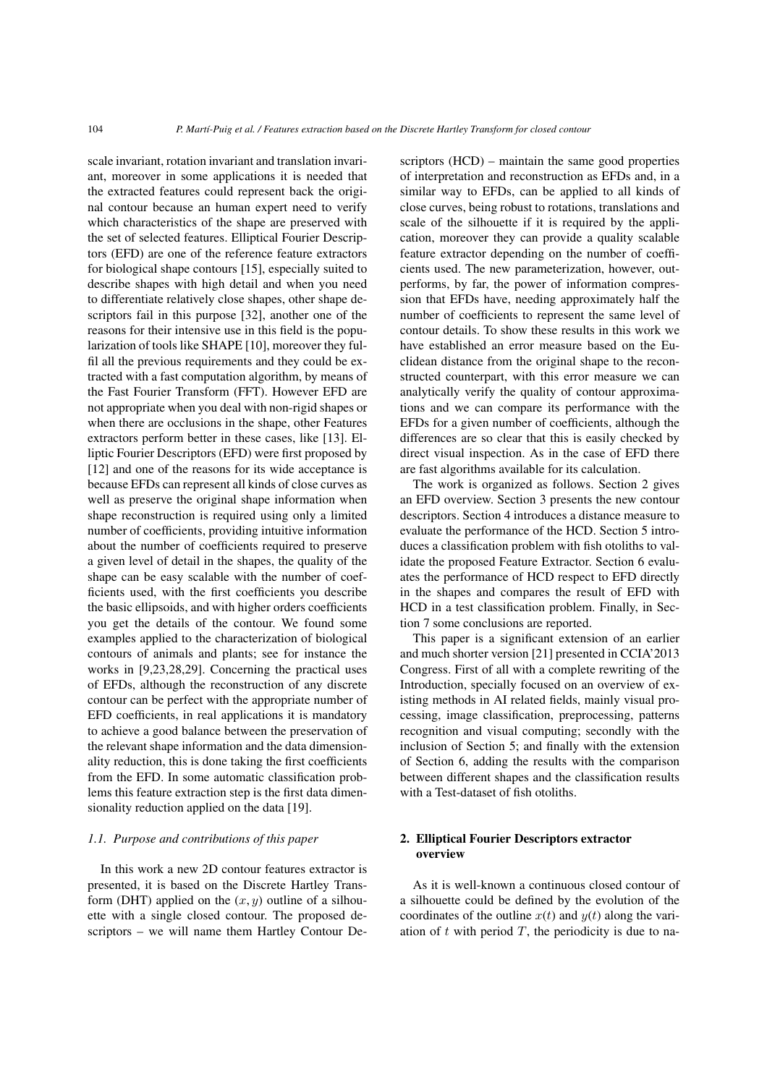scale invariant, rotation invariant and translation invariant, moreover in some applications it is needed that the extracted features could represent back the original contour because an human expert need to verify which characteristics of the shape are preserved with the set of selected features. Elliptical Fourier Descriptors (EFD) are one of the reference feature extractors for biological shape contours [15], especially suited to describe shapes with high detail and when you need to differentiate relatively close shapes, other shape descriptors fail in this purpose [32], another one of the reasons for their intensive use in this field is the popularization of tools like SHAPE [10], moreover they fulfil all the previous requirements and they could be extracted with a fast computation algorithm, by means of the Fast Fourier Transform (FFT). However EFD are not appropriate when you deal with non-rigid shapes or when there are occlusions in the shape, other Features extractors perform better in these cases, like [13]. Elliptic Fourier Descriptors (EFD) were first proposed by [12] and one of the reasons for its wide acceptance is because EFDs can represent all kinds of close curves as well as preserve the original shape information when shape reconstruction is required using only a limited number of coefficients, providing intuitive information about the number of coefficients required to preserve a given level of detail in the shapes, the quality of the shape can be easy scalable with the number of coefficients used, with the first coefficients you describe the basic ellipsoids, and with higher orders coefficients you get the details of the contour. We found some examples applied to the characterization of biological contours of animals and plants; see for instance the works in [9,23,28,29]. Concerning the practical uses of EFDs, although the reconstruction of any discrete contour can be perfect with the appropriate number of EFD coefficients, in real applications it is mandatory to achieve a good balance between the preservation of the relevant shape information and the data dimensionality reduction, this is done taking the first coefficients from the EFD. In some automatic classification problems this feature extraction step is the first data dimensionality reduction applied on the data [19].

# *1.1. Purpose and contributions of this paper*

In this work a new 2D contour features extractor is presented, it is based on the Discrete Hartley Transform (DHT) applied on the  $(x, y)$  outline of a silhouette with a single closed contour. The proposed descriptors – we will name them Hartley Contour Descriptors (HCD) – maintain the same good properties of interpretation and reconstruction as EFDs and, in a similar way to EFDs, can be applied to all kinds of close curves, being robust to rotations, translations and scale of the silhouette if it is required by the application, moreover they can provide a quality scalable feature extractor depending on the number of coefficients used. The new parameterization, however, outperforms, by far, the power of information compression that EFDs have, needing approximately half the number of coefficients to represent the same level of contour details. To show these results in this work we have established an error measure based on the Euclidean distance from the original shape to the reconstructed counterpart, with this error measure we can analytically verify the quality of contour approximations and we can compare its performance with the EFDs for a given number of coefficients, although the differences are so clear that this is easily checked by direct visual inspection. As in the case of EFD there are fast algorithms available for its calculation.

The work is organized as follows. Section 2 gives an EFD overview. Section 3 presents the new contour descriptors. Section 4 introduces a distance measure to evaluate the performance of the HCD. Section 5 introduces a classification problem with fish otoliths to validate the proposed Feature Extractor. Section 6 evaluates the performance of HCD respect to EFD directly in the shapes and compares the result of EFD with HCD in a test classification problem. Finally, in Section 7 some conclusions are reported.

This paper is a significant extension of an earlier and much shorter version [21] presented in CCIA'2013 Congress. First of all with a complete rewriting of the Introduction, specially focused on an overview of existing methods in AI related fields, mainly visual processing, image classification, preprocessing, patterns recognition and visual computing; secondly with the inclusion of Section 5; and finally with the extension of Section 6, adding the results with the comparison between different shapes and the classification results with a Test-dataset of fish otoliths.

# **2. Elliptical Fourier Descriptors extractor overview**

As it is well-known a continuous closed contour of a silhouette could be defined by the evolution of the coordinates of the outline  $x(t)$  and  $y(t)$  along the variation of  $t$  with period  $T$ , the periodicity is due to na-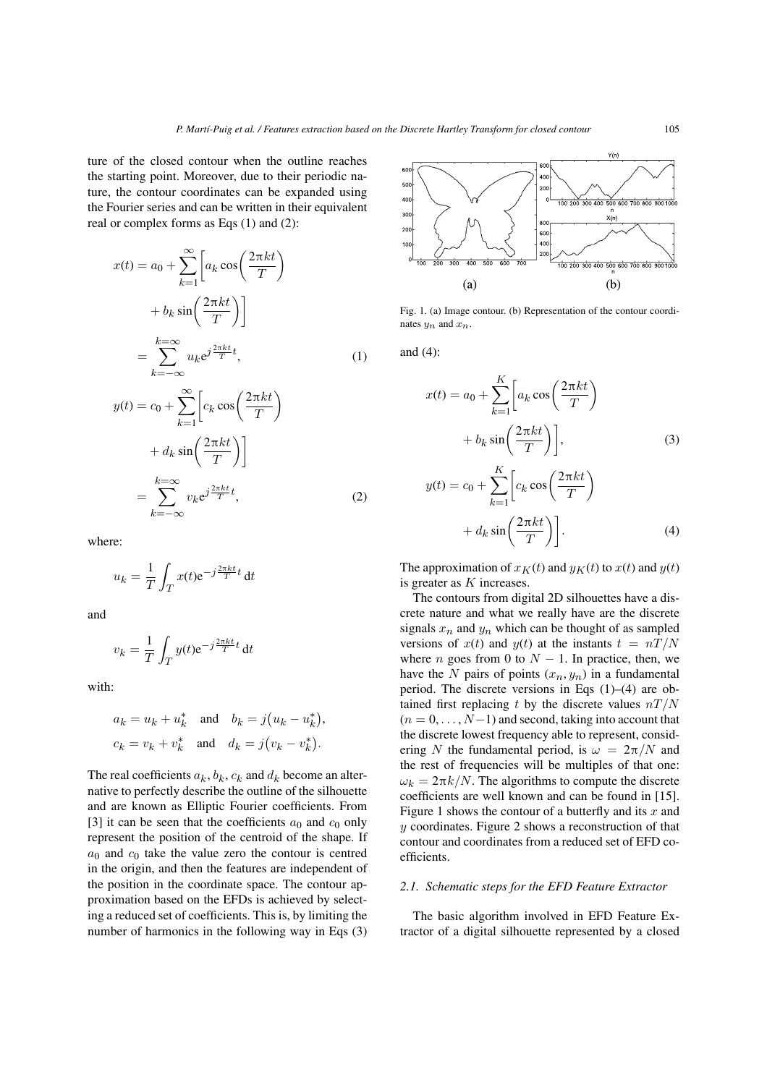ture of the closed contour when the outline reaches the starting point. Moreover, due to their periodic nature, the contour coordinates can be expanded using the Fourier series and can be written in their equivalent real or complex forms as Eqs (1) and (2):

$$
x(t) = a_0 + \sum_{k=1}^{\infty} \left[ a_k \cos\left(\frac{2\pi kt}{T}\right) + b_k \sin\left(\frac{2\pi kt}{T}\right) \right]
$$
  

$$
= \sum_{k=-\infty}^{k=\infty} u_k e^{j\frac{2\pi kt}{T}t}, \qquad (1)
$$
  

$$
y(t) = c_0 + \sum_{k=1}^{\infty} \left[ c_k \cos\left(\frac{2\pi kt}{T}\right) + d_k \sin\left(\frac{2\pi kt}{T}\right) \right]
$$
  

$$
= \sum_{k=-\infty}^{k=\infty} v_k e^{j\frac{2\pi kt}{T}t}, \qquad (2)
$$

where:

$$
u_k = \frac{1}{T} \int_T x(t) e^{-j\frac{2\pi kt}{T}t} dt
$$

 $k=-\infty$ 

and

$$
v_k = \frac{1}{T} \int_T y(t) e^{-j\frac{2\pi kt}{T}t} dt
$$

with:

$$
a_k = u_k + u_k^* \quad \text{and} \quad b_k = j(u_k - u_k^*),
$$
  

$$
c_k = v_k + v_k^* \quad \text{and} \quad d_k = j(v_k - v_k^*).
$$

The real coefficients  $a_k$ ,  $b_k$ ,  $c_k$  and  $d_k$  become an alternative to perfectly describe the outline of the silhouette and are known as Elliptic Fourier coefficients. From [3] it can be seen that the coefficients  $a_0$  and  $c_0$  only represent the position of the centroid of the shape. If  $a_0$  and  $c_0$  take the value zero the contour is centred in the origin, and then the features are independent of the position in the coordinate space. The contour approximation based on the EFDs is achieved by selecting a reduced set of coefficients. This is, by limiting the number of harmonics in the following way in Eqs (3)



Fig. 1. (a) Image contour. (b) Representation of the contour coordinates  $y_n$  and  $x_n$ .

and (4):

$$
x(t) = a_0 + \sum_{k=1}^{K} \left[ a_k \cos\left(\frac{2\pi kt}{T}\right) + b_k \sin\left(\frac{2\pi kt}{T}\right) \right],
$$
\n(3)  
\n
$$
y(t) = c_0 + \sum_{k=1}^{K} \left[ c_k \cos\left(\frac{2\pi kt}{T}\right) + d_k \sin\left(\frac{2\pi kt}{T}\right) \right].
$$

The approximation of  $x_K(t)$  and  $y_K(t)$  to  $x(t)$  and  $y(t)$ is greater as  $K$  increases.

The contours from digital 2D silhouettes have a discrete nature and what we really have are the discrete signals  $x_n$  and  $y_n$  which can be thought of as sampled versions of  $x(t)$  and  $y(t)$  at the instants  $t = nT/N$ where *n* goes from 0 to  $N - 1$ . In practice, then, we have the N pairs of points  $(x_n, y_n)$  in a fundamental period. The discrete versions in Eqs (1)–(4) are obtained first replacing t by the discrete values  $nT/N$  $(n = 0, \ldots, N-1)$  and second, taking into account that the discrete lowest frequency able to represent, considering N the fundamental period, is  $\omega = 2\pi/N$  and the rest of frequencies will be multiples of that one:  $\omega_k = 2\pi k/N$ . The algorithms to compute the discrete coefficients are well known and can be found in [15]. Figure 1 shows the contour of a butterfly and its  $x$  and y coordinates. Figure 2 shows a reconstruction of that contour and coordinates from a reduced set of EFD coefficients.

# *2.1. Schematic steps for the EFD Feature Extractor*

The basic algorithm involved in EFD Feature Extractor of a digital silhouette represented by a closed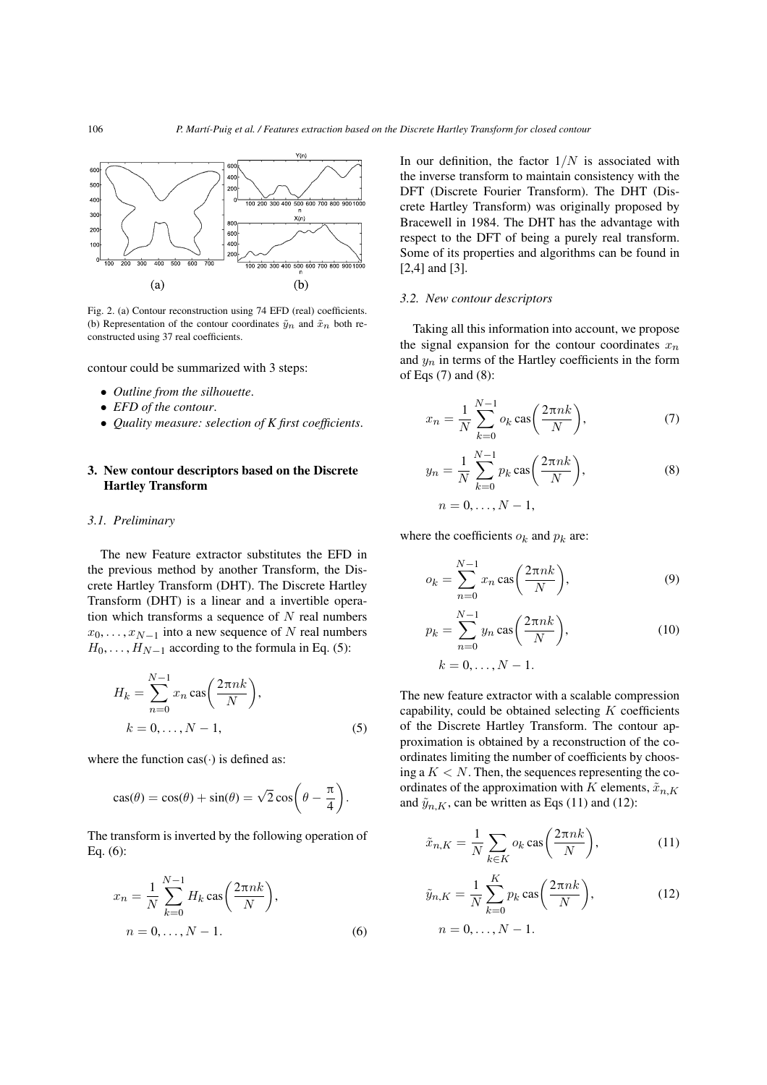

Fig. 2. (a) Contour reconstruction using 74 EFD (real) coefficients. (b) Representation of the contour coordinates  $\tilde{y}_n$  and  $\tilde{x}_n$  both reconstructed using 37 real coefficients.

contour could be summarized with 3 steps:

- *Outline from the silhouette*.
- *EFD of the contour*.
- *Quality measure: selection of K first coefficients*.

# **3. New contour descriptors based on the Discrete Hartley Transform**

#### *3.1. Preliminary*

The new Feature extractor substitutes the EFD in the previous method by another Transform, the Discrete Hartley Transform (DHT). The Discrete Hartley Transform (DHT) is a linear and a invertible operation which transforms a sequence of  $N$  real numbers  $x_0, \ldots, x_{N-1}$  into a new sequence of N real numbers  $H_0, \ldots, H_{N-1}$  according to the formula in Eq. (5):

$$
H_k = \sum_{n=0}^{N-1} x_n \operatorname{cas}\left(\frac{2\pi nk}{N}\right),
$$
  
\n
$$
k = 0, \dots, N-1,
$$
\n(5)

where the function  $\text{cas}(\cdot)$  is defined as:

$$
\cos(\theta) = \cos(\theta) + \sin(\theta) = \sqrt{2}\cos\left(\theta - \frac{\pi}{4}\right).
$$

The transform is inverted by the following operation of Eq. (6):

$$
x_n = \frac{1}{N} \sum_{k=0}^{N-1} H_k \cos\left(\frac{2\pi nk}{N}\right),
$$
  
n = 0, ..., N - 1. (6)

In our definition, the factor  $1/N$  is associated with the inverse transform to maintain consistency with the DFT (Discrete Fourier Transform). The DHT (Discrete Hartley Transform) was originally proposed by Bracewell in 1984. The DHT has the advantage with respect to the DFT of being a purely real transform. Some of its properties and algorithms can be found in [2,4] and [3].

#### *3.2. New contour descriptors*

Taking all this information into account, we propose the signal expansion for the contour coordinates  $x_n$ and  $y_n$  in terms of the Hartley coefficients in the form of Eqs (7) and (8):

$$
x_n = \frac{1}{N} \sum_{k=0}^{N-1} o_k \cos\left(\frac{2\pi nk}{N}\right),\tag{7}
$$

$$
y_n = \frac{1}{N} \sum_{k=0}^{N-1} p_k \cos\left(\frac{2\pi nk}{N}\right),
$$
  
\n
$$
n = 0, ..., N - 1,
$$
 (8)

where the coefficients  $o_k$  and  $p_k$  are:

$$
o_k = \sum_{n=0}^{N-1} x_n \operatorname{cas}\left(\frac{2\pi nk}{N}\right),\tag{9}
$$

$$
p_k = \sum_{n=0}^{N-1} y_n \operatorname{cas}\left(\frac{2\pi nk}{N}\right),
$$
  
\n
$$
k = 0, \dots, N-1.
$$
 (10)

The new feature extractor with a scalable compression capability, could be obtained selecting  $K$  coefficients of the Discrete Hartley Transform. The contour approximation is obtained by a reconstruction of the coordinates limiting the number of coefficients by choosing a  $K < N$ . Then, the sequences representing the coordinates of the approximation with K elements,  $\tilde{x}_{n,K}$ and  $\tilde{y}_{n,K}$ , can be written as Eqs (11) and (12):

$$
\tilde{x}_{n,K} = \frac{1}{N} \sum_{k \in K} o_k \cos\left(\frac{2\pi nk}{N}\right),\tag{11}
$$

$$
\tilde{y}_{n,K} = \frac{1}{N} \sum_{k=0}^{K} p_k \cos\left(\frac{2\pi nk}{N}\right),\tag{12}
$$
\n
$$
n = 0, \dots, N - 1.
$$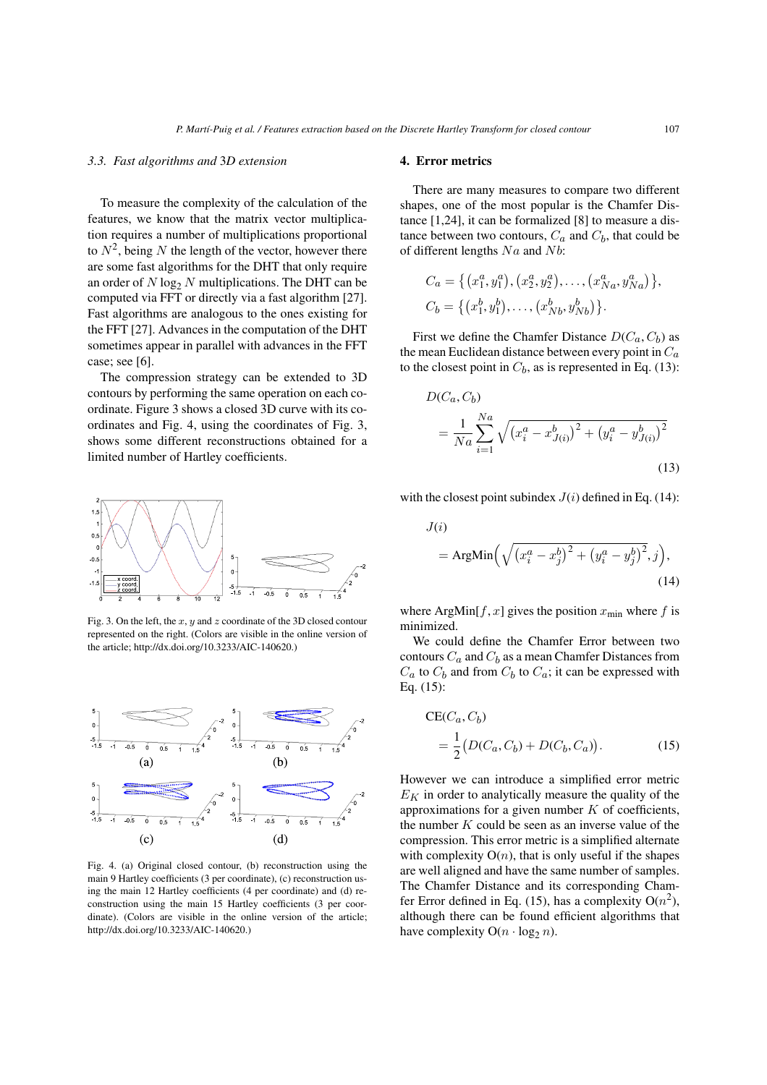# *3.3. Fast algorithms and* 3*D extension*

To measure the complexity of the calculation of the features, we know that the matrix vector multiplication requires a number of multiplications proportional to  $N^2$ , being N the length of the vector, however there are some fast algorithms for the DHT that only require an order of  $N \log_2 N$  multiplications. The DHT can be computed via FFT or directly via a fast algorithm [27]. Fast algorithms are analogous to the ones existing for the FFT [27]. Advances in the computation of the DHT sometimes appear in parallel with advances in the FFT case; see [6].

The compression strategy can be extended to 3D contours by performing the same operation on each coordinate. Figure 3 shows a closed 3D curve with its coordinates and Fig. 4, using the coordinates of Fig. 3, shows some different reconstructions obtained for a limited number of Hartley coefficients.



Fig. 3. On the left, the  $x$ ,  $y$  and  $z$  coordinate of the 3D closed contour represented on the right. (Colors are visible in the online version of the article; http://dx.doi.org/10.3233/AIC-140620.)



Fig. 4. (a) Original closed contour, (b) reconstruction using the main 9 Hartley coefficients (3 per coordinate), (c) reconstruction using the main 12 Hartley coefficients (4 per coordinate) and (d) reconstruction using the main 15 Hartley coefficients (3 per coordinate). (Colors are visible in the online version of the article; http://dx.doi.org/10.3233/AIC-140620.)

# **4. Error metrics**

There are many measures to compare two different shapes, one of the most popular is the Chamfer Distance [1,24], it can be formalized [8] to measure a distance between two contours,  $C_a$  and  $C_b$ , that could be of different lengths  $Na$  and  $Nb$ :

$$
C_a = \{ (x_1^a, y_1^a), (x_2^a, y_2^a), \dots, (x_{Na}^a, y_{Na}^a) \},
$$
  

$$
C_b = \{ (x_1^b, y_1^b), \dots, (x_{Nb}^b, y_{Nb}^b) \}.
$$

First we define the Chamfer Distance  $D(C_a, C_b)$  as the mean Euclidean distance between every point in  $C_a$ to the closest point in  $C_b$ , as is represented in Eq. (13):

$$
D(C_a, C_b)
$$
  
=  $\frac{1}{Na} \sum_{i=1}^{Na} \sqrt{(x_i^a - x_{J(i)}^b)^2 + (y_i^a - y_{J(i)}^b)^2}$   
(13)

with the closest point subindex  $J(i)$  defined in Eq. (14):

$$
J(i)
$$
  
= ArgMin $\left(\sqrt{\left(x_i^a - x_j^b\right)^2 + \left(y_i^a - y_j^b\right)^2}, j\right),$  (14)

where ArgMin[ $f, x$ ] gives the position  $x_{\text{min}}$  where  $f$  is minimized.

We could define the Chamfer Error between two contours  $C_a$  and  $C_b$  as a mean Chamfer Distances from  $C_a$  to  $C_b$  and from  $C_b$  to  $C_a$ ; it can be expressed with Eq. (15):

$$
CE(C_a, C_b)
$$
  
=  $\frac{1}{2} (D(C_a, C_b) + D(C_b, C_a)).$  (15)

However we can introduce a simplified error metric  $E_K$  in order to analytically measure the quality of the approximations for a given number  $K$  of coefficients, the number  $K$  could be seen as an inverse value of the compression. This error metric is a simplified alternate with complexity  $O(n)$ , that is only useful if the shapes are well aligned and have the same number of samples. The Chamfer Distance and its corresponding Chamfer Error defined in Eq. (15), has a complexity  $O(n^2)$ , although there can be found efficient algorithms that have complexity  $O(n \cdot \log_2 n)$ .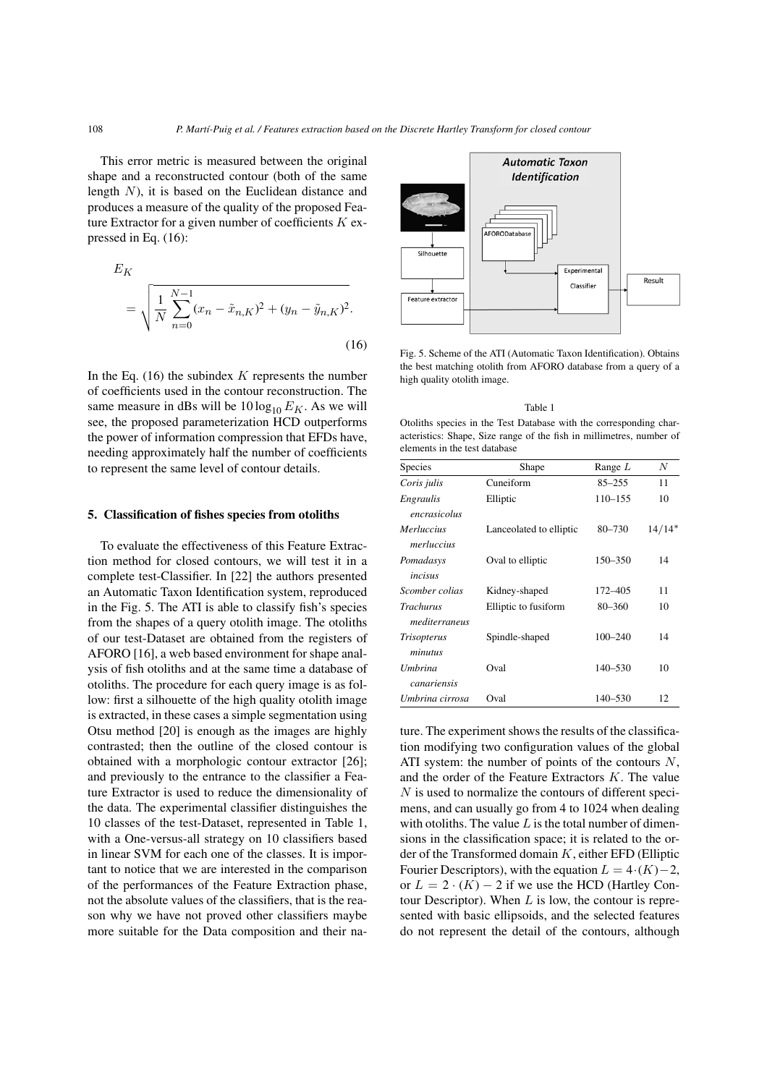This error metric is measured between the original shape and a reconstructed contour (both of the same length N), it is based on the Euclidean distance and produces a measure of the quality of the proposed Feature Extractor for a given number of coefficients  $K$  expressed in Eq. (16):

$$
E_K
$$
  
=  $\sqrt{\frac{1}{N} \sum_{n=0}^{N-1} (x_n - \tilde{x}_{n,K})^2 + (y_n - \tilde{y}_{n,K})^2}$ . (16)

In the Eq.  $(16)$  the subindex K represents the number of coefficients used in the contour reconstruction. The same measure in dBs will be  $10 \log_{10} E_K$ . As we will see, the proposed parameterization HCD outperforms the power of information compression that EFDs have, needing approximately half the number of coefficients to represent the same level of contour details.

# **5. Classification of fishes species from otoliths**

To evaluate the effectiveness of this Feature Extraction method for closed contours, we will test it in a complete test-Classifier. In [22] the authors presented an Automatic Taxon Identification system, reproduced in the Fig. 5. The ATI is able to classify fish's species from the shapes of a query otolith image. The otoliths of our test-Dataset are obtained from the registers of AFORO [16], a web based environment for shape analysis of fish otoliths and at the same time a database of otoliths. The procedure for each query image is as follow: first a silhouette of the high quality otolith image is extracted, in these cases a simple segmentation using Otsu method [20] is enough as the images are highly contrasted; then the outline of the closed contour is obtained with a morphologic contour extractor [26]; and previously to the entrance to the classifier a Feature Extractor is used to reduce the dimensionality of the data. The experimental classifier distinguishes the 10 classes of the test-Dataset, represented in Table 1, with a One-versus-all strategy on 10 classifiers based in linear SVM for each one of the classes. It is important to notice that we are interested in the comparison of the performances of the Feature Extraction phase, not the absolute values of the classifiers, that is the reason why we have not proved other classifiers maybe more suitable for the Data composition and their na-



Fig. 5. Scheme of the ATI (Automatic Taxon Identification). Obtains the best matching otolith from AFORO database from a query of a high quality otolith image.

#### Table 1

Otoliths species in the Test Database with the corresponding characteristics: Shape, Size range of the fish in millimetres, number of elements in the test database

| Species                           | Shape                   | Range $L$   | N        |
|-----------------------------------|-------------------------|-------------|----------|
| Coris julis                       | Cuneiform               | $85 - 255$  | 11       |
| Engraulis<br>encrasicolus         | Elliptic                | $110 - 155$ | 10       |
| <i>Merluccius</i><br>merluccius   | Lanceolated to elliptic | $80 - 730$  | $14/14*$ |
| Pomadasys<br>incisus              | Oval to elliptic        | 150–350     | 14       |
| Scomber colias                    | Kidney-shaped           | 172–405     | 11       |
| <b>Trachurus</b><br>mediterraneus | Elliptic to fusiform    | $80 - 360$  | 10       |
| <i>Trisopterus</i><br>minutus     | Spindle-shaped          | $100 - 240$ | 14       |
| Umbrina<br>canariensis            | Oval                    | $140 - 530$ | 10       |
| Umbrina cirrosa                   | Oval                    | 140–530     | 12       |

ture. The experiment shows the results of the classification modifying two configuration values of the global ATI system: the number of points of the contours  $N$ , and the order of the Feature Extractors K. The value N is used to normalize the contours of different specimens, and can usually go from 4 to 1024 when dealing with otoliths. The value  $L$  is the total number of dimensions in the classification space; it is related to the order of the Transformed domain  $K$ , either EFD (Elliptic Fourier Descriptors), with the equation  $L = 4 \cdot (K) - 2$ , or  $L = 2 \cdot (K) - 2$  if we use the HCD (Hartley Contour Descriptor). When  $L$  is low, the contour is represented with basic ellipsoids, and the selected features do not represent the detail of the contours, although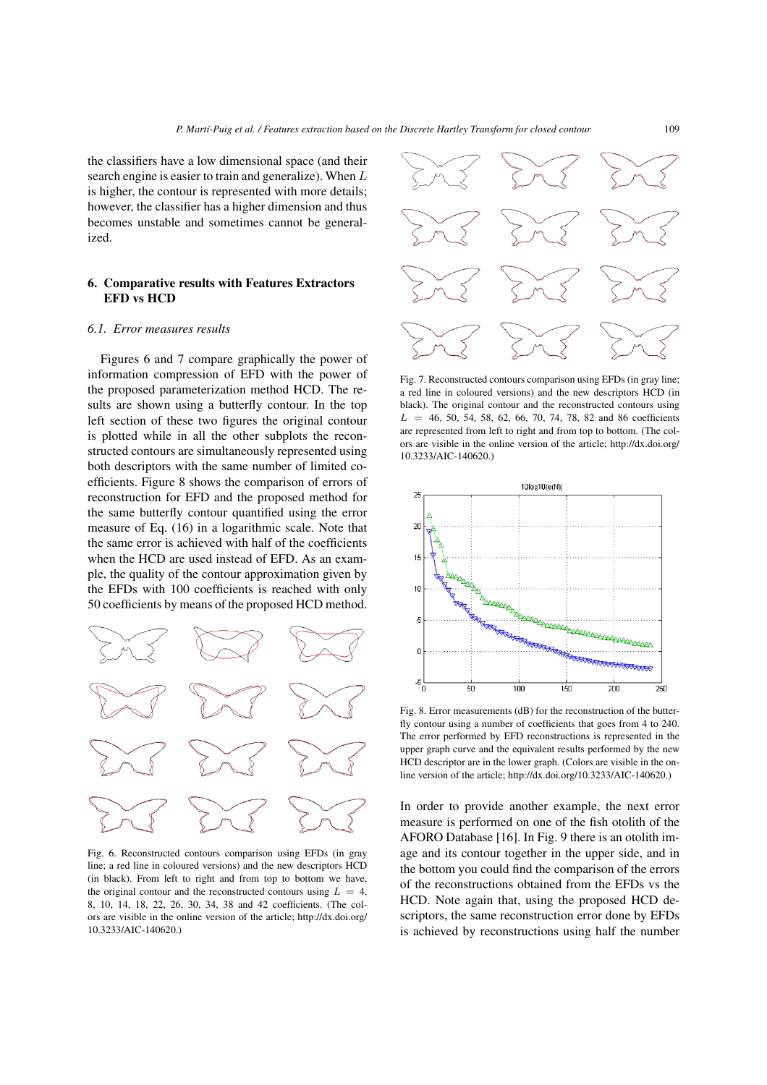the classifiers have a low dimensional space (and their search engine is easier to train and generalize). When L is higher, the contour is represented with more details; however, the classifier has a higher dimension and thus becomes unstable and sometimes cannot be generalized.

# **6. Comparative results with Features Extractors EFD vs HCD**

#### *6.1. Error measures results*

Figures 6 and 7 compare graphically the power of information compression of EFD with the power of the proposed parameterization method HCD. The results are shown using a butterfly contour. In the top left section of these two figures the original contour is plotted while in all the other subplots the reconstructed contours are simultaneously represented using both descriptors with the same number of limited coefficients. Figure 8 shows the comparison of errors of reconstruction for EFD and the proposed method for the same butterfly contour quantified using the error measure of Eq. (16) in a logarithmic scale. Note that the same error is achieved with half of the coefficients when the HCD are used instead of EFD. As an example, the quality of the contour approximation given by the EFDs with 100 coefficients is reached with only 50 coefficients by means of the proposed HCD method.



Fig. 6. Reconstructed contours comparison using EFDs (in gray line; a red line in coloured versions) and the new descriptors HCD (in black). From left to right and from top to bottom we have, the original contour and the reconstructed contours using  $L = 4$ , 8, 10, 14, 18, 22, 26, 30, 34, 38 and 42 coefficients. (The colors are visible in the online version of the article; http://dx.doi.org/ 10.3233/AIC-140620.)



Fig. 7. Reconstructed contours comparison using EFDs (in gray line; a red line in coloured versions) and the new descriptors HCD (in black). The original contour and the reconstructed contours using  $L = 46, 50, 54, 58, 62, 66, 70, 74, 78, 82, and 86 coefficients$ are represented from left to right and from top to bottom. (The colors are visible in the online version of the article; http://dx.doi.org/ 10.3233/AIC-140620.)



Fig. 8. Error measurements (dB) for the reconstruction of the butterfly contour using a number of coefficients that goes from 4 to 240. The error performed by EFD reconstructions is represented in the upper graph curve and the equivalent results performed by the new HCD descriptor are in the lower graph. (Colors are visible in the online version of the article; http://dx.doi.org/10.3233/AIC-140620.)

In order to provide another example, the next error measure is performed on one of the fish otolith of the AFORO Database [16]. In Fig. 9 there is an otolith image and its contour together in the upper side, and in the bottom you could find the comparison of the errors of the reconstructions obtained from the EFDs vs the HCD. Note again that, using the proposed HCD descriptors, the same reconstruction error done by EFDs is achieved by reconstructions using half the number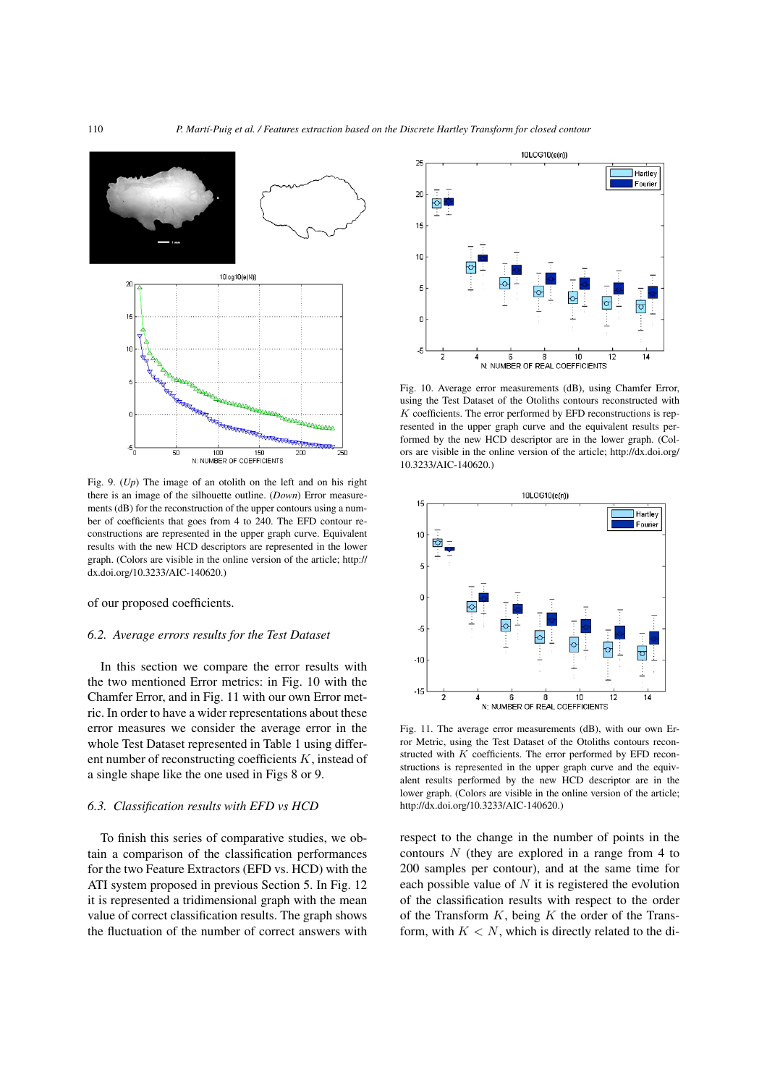

Fig. 9. (*Up*) The image of an otolith on the left and on his right there is an image of the silhouette outline. (*Down*) Error measurements (dB) for the reconstruction of the upper contours using a number of coefficients that goes from 4 to 240. The EFD contour reconstructions are represented in the upper graph curve. Equivalent results with the new HCD descriptors are represented in the lower graph. (Colors are visible in the online version of the article; http:// dx.doi.org/10.3233/AIC-140620.)

of our proposed coefficients.

#### *6.2. Average errors results for the Test Dataset*

In this section we compare the error results with the two mentioned Error metrics: in Fig. 10 with the Chamfer Error, and in Fig. 11 with our own Error metric. In order to have a wider representations about these error measures we consider the average error in the whole Test Dataset represented in Table 1 using different number of reconstructing coefficients K, instead of a single shape like the one used in Figs 8 or 9.

# *6.3. Classification results with EFD vs HCD*

To finish this series of comparative studies, we obtain a comparison of the classification performances for the two Feature Extractors (EFD vs. HCD) with the ATI system proposed in previous Section 5. In Fig. 12 it is represented a tridimensional graph with the mean value of correct classification results. The graph shows the fluctuation of the number of correct answers with



Fig. 10. Average error measurements (dB), using Chamfer Error, using the Test Dataset of the Otoliths contours reconstructed with  $K$  coefficients. The error performed by EFD reconstructions is represented in the upper graph curve and the equivalent results performed by the new HCD descriptor are in the lower graph. (Colors are visible in the online version of the article; http://dx.doi.org/ 10.3233/AIC-140620.)



Fig. 11. The average error measurements (dB), with our own Error Metric, using the Test Dataset of the Otoliths contours reconstructed with K coefficients. The error performed by EFD reconstructions is represented in the upper graph curve and the equivalent results performed by the new HCD descriptor are in the lower graph. (Colors are visible in the online version of the article; http://dx.doi.org/10.3233/AIC-140620.)

respect to the change in the number of points in the contours N (they are explored in a range from 4 to 200 samples per contour), and at the same time for each possible value of  $N$  it is registered the evolution of the classification results with respect to the order of the Transform  $K$ , being  $K$  the order of the Transform, with  $K < N$ , which is directly related to the di-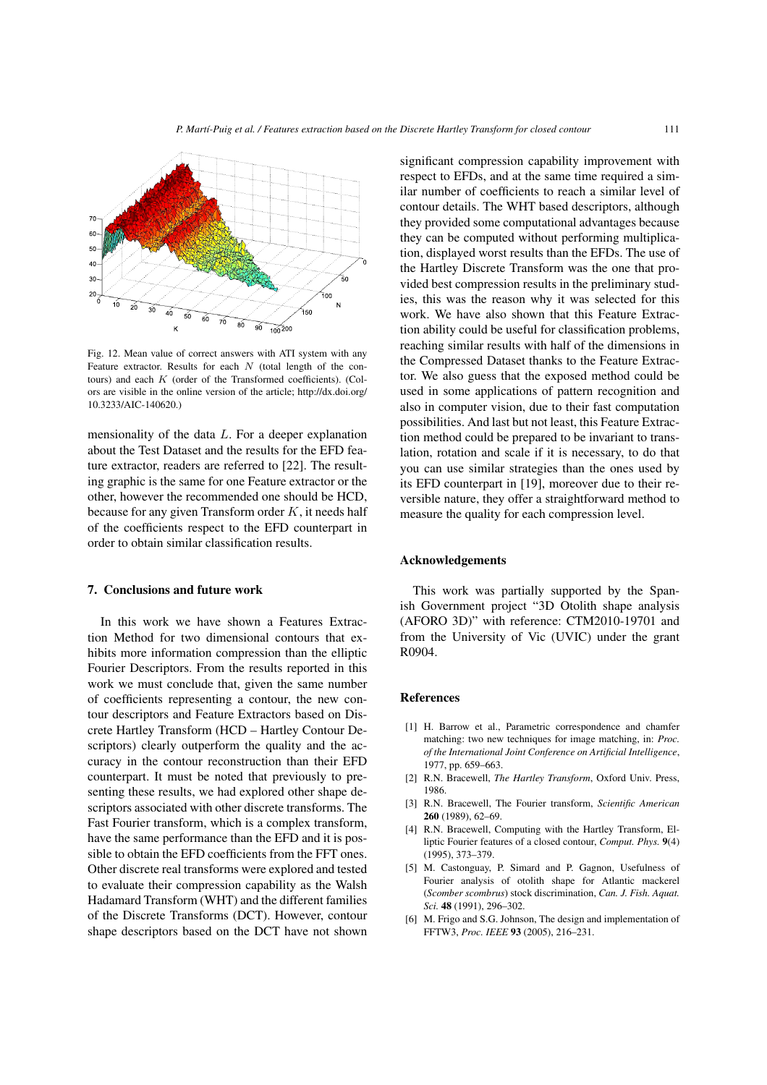

Fig. 12. Mean value of correct answers with ATI system with any Feature extractor. Results for each  $N$  (total length of the contours) and each  $K$  (order of the Transformed coefficients). (Colors are visible in the online version of the article; http://dx.doi.org/ 10.3233/AIC-140620.)

mensionality of the data L. For a deeper explanation about the Test Dataset and the results for the EFD feature extractor, readers are referred to [22]. The resulting graphic is the same for one Feature extractor or the other, however the recommended one should be HCD, because for any given Transform order  $K$ , it needs half of the coefficients respect to the EFD counterpart in order to obtain similar classification results.

### **7. Conclusions and future work**

In this work we have shown a Features Extraction Method for two dimensional contours that exhibits more information compression than the elliptic Fourier Descriptors. From the results reported in this work we must conclude that, given the same number of coefficients representing a contour, the new contour descriptors and Feature Extractors based on Discrete Hartley Transform (HCD – Hartley Contour Descriptors) clearly outperform the quality and the accuracy in the contour reconstruction than their EFD counterpart. It must be noted that previously to presenting these results, we had explored other shape descriptors associated with other discrete transforms. The Fast Fourier transform, which is a complex transform, have the same performance than the EFD and it is possible to obtain the EFD coefficients from the FFT ones. Other discrete real transforms were explored and tested to evaluate their compression capability as the Walsh Hadamard Transform (WHT) and the different families of the Discrete Transforms (DCT). However, contour shape descriptors based on the DCT have not shown significant compression capability improvement with respect to EFDs, and at the same time required a similar number of coefficients to reach a similar level of contour details. The WHT based descriptors, although they provided some computational advantages because they can be computed without performing multiplication, displayed worst results than the EFDs. The use of the Hartley Discrete Transform was the one that provided best compression results in the preliminary studies, this was the reason why it was selected for this work. We have also shown that this Feature Extraction ability could be useful for classification problems, reaching similar results with half of the dimensions in the Compressed Dataset thanks to the Feature Extractor. We also guess that the exposed method could be used in some applications of pattern recognition and also in computer vision, due to their fast computation possibilities. And last but not least, this Feature Extraction method could be prepared to be invariant to translation, rotation and scale if it is necessary, to do that you can use similar strategies than the ones used by its EFD counterpart in [19], moreover due to their reversible nature, they offer a straightforward method to measure the quality for each compression level.

#### **Acknowledgements**

This work was partially supported by the Spanish Government project "3D Otolith shape analysis (AFORO 3D)" with reference: CTM2010-19701 and from the University of Vic (UVIC) under the grant R0904.

#### **References**

- [1] H. Barrow et al., Parametric correspondence and chamfer matching: two new techniques for image matching, in: *Proc. of the International Joint Conference on Artificial Intelligence*, 1977, pp. 659–663.
- [2] R.N. Bracewell, *The Hartley Transform*, Oxford Univ. Press, 1986.
- [3] R.N. Bracewell, The Fourier transform, *Scientific American* **260** (1989), 62–69.
- [4] R.N. Bracewell, Computing with the Hartley Transform, Elliptic Fourier features of a closed contour, *Comput. Phys.* **9**(4) (1995), 373–379.
- [5] M. Castonguay, P. Simard and P. Gagnon, Usefulness of Fourier analysis of otolith shape for Atlantic mackerel (*Scomber scombrus*) stock discrimination, *Can. J. Fish. Aquat. Sci.* **48** (1991), 296–302.
- [6] M. Frigo and S.G. Johnson, The design and implementation of FFTW3, *Proc. IEEE* **93** (2005), 216–231.